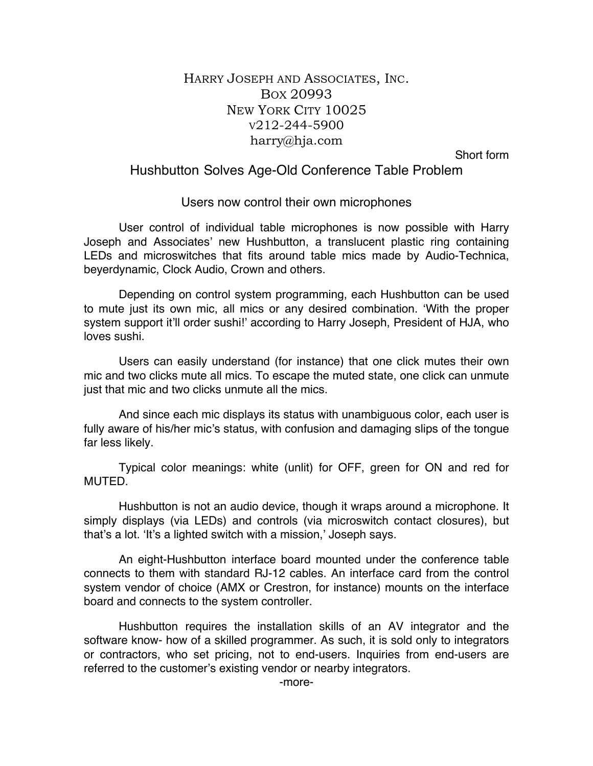## HARRY JOSEPH AND ASSOCIATES, INC. BOX 20993 NEW YORK CITY 10025 V212-244-5900 harry@hja.com

Short form

## Hushbutton Solves Age-Old Conference Table Problem

## Users now control their own microphones

User control of individual table microphones is now possible with Harry Joseph and Associates' new Hushbutton, a translucent plastic ring containing LEDs and microswitches that fits around table mics made by Audio-Technica, beyerdynamic, Clock Audio, Crown and others.

Depending on control system programming, each Hushbutton can be used to mute just its own mic, all mics or any desired combination. 'With the proper system support it'll order sushi!' according to Harry Joseph, President of HJA, who loves sushi.

Users can easily understand (for instance) that one click mutes their own mic and two clicks mute all mics. To escape the muted state, one click can unmute just that mic and two clicks unmute all the mics.

And since each mic displays its status with unambiguous color, each user is fully aware of his/her mic's status, with confusion and damaging slips of the tongue far less likely.

Typical color meanings: white (unlit) for OFF, green for ON and red for **MUTED** 

Hushbutton is not an audio device, though it wraps around a microphone. It simply displays (via LEDs) and controls (via microswitch contact closures), but that's a lot. 'It's a lighted switch with a mission,' Joseph says.

An eight-Hushbutton interface board mounted under the conference table connects to them with standard RJ-12 cables. An interface card from the control system vendor of choice (AMX or Crestron, for instance) mounts on the interface board and connects to the system controller.

Hushbutton requires the installation skills of an AV integrator and the software know- how of a skilled programmer. As such, it is sold only to integrators or contractors, who set pricing, not to end-users. Inquiries from end-users are referred to the customer's existing vendor or nearby integrators.